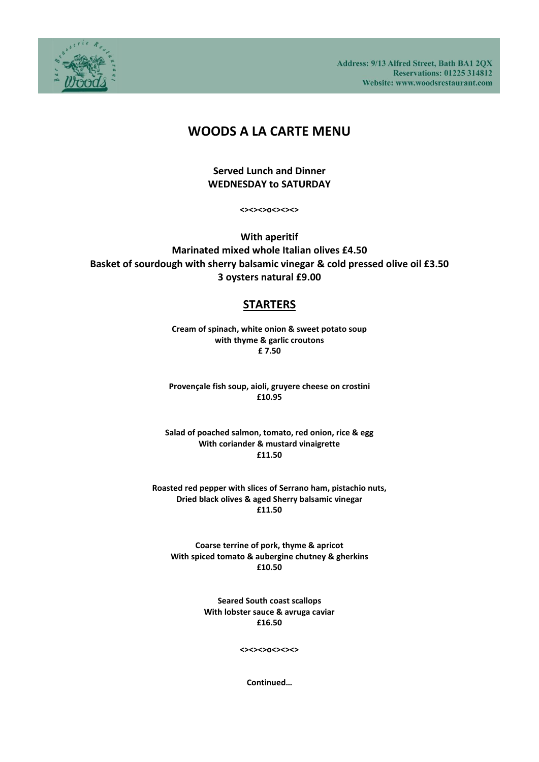Address: 9/13 Alfred Street, Bath BA1 2QX **Reservations: 01225 314812** Website: www.woodsrestaurant.com



# **WOODS A LA CARTE MENU**

### **Served Lunch and Dinner WEDNESDAY to SATURDAY**

**<><><>o<><><>**

**With aperitif Marinated mixed whole Italian olives £4.50 Basket of sourdough with sherry balsamic vinegar & cold pressed olive oil £3.50 3 oysters natural £9.00**

# **STARTERS**

**Cream of spinach, white onion & sweet potato soup with thyme & garlic croutons £ 7.50**

**Provençale fish soup, aioli, gruyere cheese on crostini £10.95**

**Salad of poached salmon, tomato, red onion, rice & egg With coriander & mustard vinaigrette £11.50**

**Roasted red pepper with slices of Serrano ham, pistachio nuts, Dried black olives & aged Sherry balsamic vinegar £11.50**

**Coarse terrine of pork, thyme & apricot With spiced tomato & aubergine chutney & gherkins £10.50**

> **Seared South coast scallops With lobster sauce & avruga caviar £16.50**

> > **<><><>o<><><>**

**Continued…**